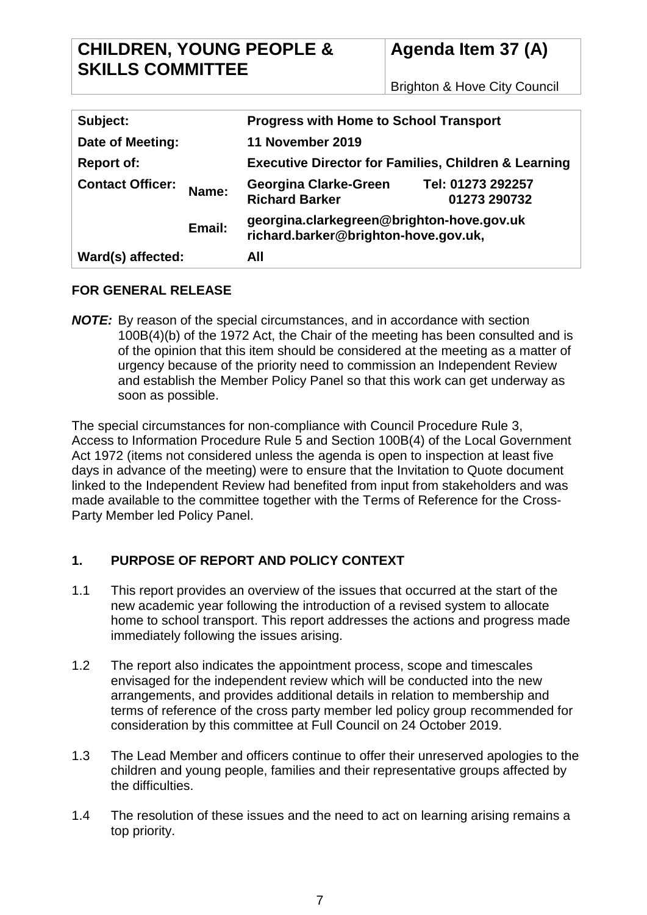## **CHILDREN, YOUNG PEOPLE & SKILLS COMMITTEE**

# **Agenda Item 37 (A)**

Brighton & Hove City Council

| Subject:                |        | <b>Progress with Home to School Transport</b>                                     |                                   |
|-------------------------|--------|-----------------------------------------------------------------------------------|-----------------------------------|
| Date of Meeting:        |        | 11 November 2019                                                                  |                                   |
| <b>Report of:</b>       |        | <b>Executive Director for Families, Children &amp; Learning</b>                   |                                   |
| <b>Contact Officer:</b> | Name:  | <b>Georgina Clarke-Green</b><br><b>Richard Barker</b>                             | Tel: 01273 292257<br>01273 290732 |
|                         | Email: | georgina.clarkegreen@brighton-hove.gov.uk<br>richard.barker@brighton-hove.gov.uk, |                                   |
| Ward(s) affected:       |        | All                                                                               |                                   |

## **FOR GENERAL RELEASE**

*NOTE:* By reason of the special circumstances, and in accordance with section 100B(4)(b) of the 1972 Act, the Chair of the meeting has been consulted and is of the opinion that this item should be considered at the meeting as a matter of urgency because of the priority need to commission an Independent Review and establish the Member Policy Panel so that this work can get underway as soon as possible.

The special circumstances for non-compliance with Council Procedure Rule 3, Access to Information Procedure Rule 5 and Section 100B(4) of the Local Government Act 1972 (items not considered unless the agenda is open to inspection at least five days in advance of the meeting) were to ensure that the Invitation to Quote document linked to the Independent Review had benefited from input from stakeholders and was made available to the committee together with the Terms of Reference for the Cross-Party Member led Policy Panel.

## **1. PURPOSE OF REPORT AND POLICY CONTEXT**

- 1.1 This report provides an overview of the issues that occurred at the start of the new academic year following the introduction of a revised system to allocate home to school transport. This report addresses the actions and progress made immediately following the issues arising.
- 1.2 The report also indicates the appointment process, scope and timescales envisaged for the independent review which will be conducted into the new arrangements, and provides additional details in relation to membership and terms of reference of the cross party member led policy group recommended for consideration by this committee at Full Council on 24 October 2019.
- 1.3 The Lead Member and officers continue to offer their unreserved apologies to the children and young people, families and their representative groups affected by the difficulties.
- 1.4 The resolution of these issues and the need to act on learning arising remains a top priority.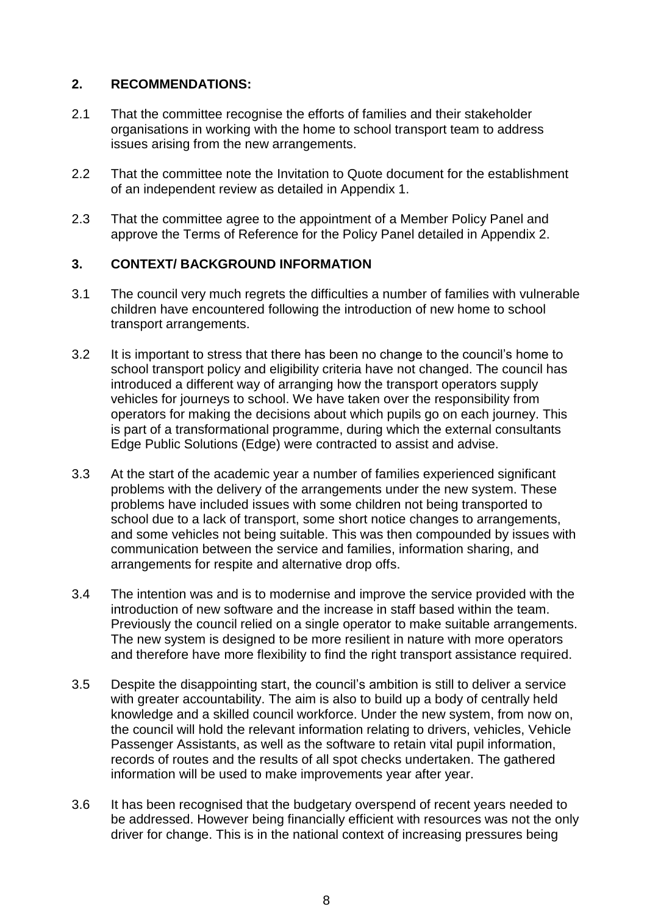## **2. RECOMMENDATIONS:**

- 2.1 That the committee recognise the efforts of families and their stakeholder organisations in working with the home to school transport team to address issues arising from the new arrangements.
- 2.2 That the committee note the Invitation to Quote document for the establishment of an independent review as detailed in Appendix 1.
- 2.3 That the committee agree to the appointment of a Member Policy Panel and approve the Terms of Reference for the Policy Panel detailed in Appendix 2.

## **3. CONTEXT/ BACKGROUND INFORMATION**

- 3.1 The council very much regrets the difficulties a number of families with vulnerable children have encountered following the introduction of new home to school transport arrangements.
- 3.2 It is important to stress that there has been no change to the council's home to school transport policy and eligibility criteria have not changed. The council has introduced a different way of arranging how the transport operators supply vehicles for journeys to school. We have taken over the responsibility from operators for making the decisions about which pupils go on each journey. This is part of a transformational programme, during which the external consultants Edge Public Solutions (Edge) were contracted to assist and advise.
- 3.3 At the start of the academic year a number of families experienced significant problems with the delivery of the arrangements under the new system. These problems have included issues with some children not being transported to school due to a lack of transport, some short notice changes to arrangements, and some vehicles not being suitable. This was then compounded by issues with communication between the service and families, information sharing, and arrangements for respite and alternative drop offs.
- 3.4 The intention was and is to modernise and improve the service provided with the introduction of new software and the increase in staff based within the team. Previously the council relied on a single operator to make suitable arrangements. The new system is designed to be more resilient in nature with more operators and therefore have more flexibility to find the right transport assistance required.
- 3.5 Despite the disappointing start, the council's ambition is still to deliver a service with greater accountability. The aim is also to build up a body of centrally held knowledge and a skilled council workforce. Under the new system, from now on, the council will hold the relevant information relating to drivers, vehicles, Vehicle Passenger Assistants, as well as the software to retain vital pupil information, records of routes and the results of all spot checks undertaken. The gathered information will be used to make improvements year after year.
- 3.6 It has been recognised that the budgetary overspend of recent years needed to be addressed. However being financially efficient with resources was not the only driver for change. This is in the national context of increasing pressures being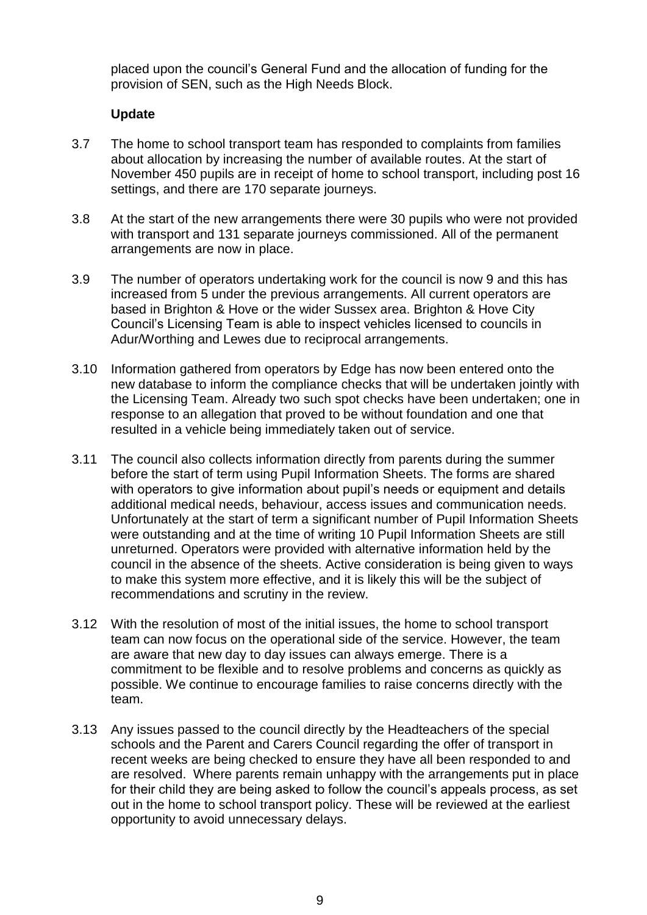placed upon the council's General Fund and the allocation of funding for the provision of SEN, such as the High Needs Block.

#### **Update**

- 3.7 The home to school transport team has responded to complaints from families about allocation by increasing the number of available routes. At the start of November 450 pupils are in receipt of home to school transport, including post 16 settings, and there are 170 separate journeys.
- 3.8 At the start of the new arrangements there were 30 pupils who were not provided with transport and 131 separate journeys commissioned. All of the permanent arrangements are now in place.
- 3.9 The number of operators undertaking work for the council is now 9 and this has increased from 5 under the previous arrangements. All current operators are based in Brighton & Hove or the wider Sussex area. Brighton & Hove City Council's Licensing Team is able to inspect vehicles licensed to councils in Adur/Worthing and Lewes due to reciprocal arrangements.
- 3.10 Information gathered from operators by Edge has now been entered onto the new database to inform the compliance checks that will be undertaken jointly with the Licensing Team. Already two such spot checks have been undertaken; one in response to an allegation that proved to be without foundation and one that resulted in a vehicle being immediately taken out of service.
- 3.11 The council also collects information directly from parents during the summer before the start of term using Pupil Information Sheets. The forms are shared with operators to give information about pupil's needs or equipment and details additional medical needs, behaviour, access issues and communication needs. Unfortunately at the start of term a significant number of Pupil Information Sheets were outstanding and at the time of writing 10 Pupil Information Sheets are still unreturned. Operators were provided with alternative information held by the council in the absence of the sheets. Active consideration is being given to ways to make this system more effective, and it is likely this will be the subject of recommendations and scrutiny in the review.
- 3.12 With the resolution of most of the initial issues, the home to school transport team can now focus on the operational side of the service. However, the team are aware that new day to day issues can always emerge. There is a commitment to be flexible and to resolve problems and concerns as quickly as possible. We continue to encourage families to raise concerns directly with the team.
- 3.13 Any issues passed to the council directly by the Headteachers of the special schools and the Parent and Carers Council regarding the offer of transport in recent weeks are being checked to ensure they have all been responded to and are resolved. Where parents remain unhappy with the arrangements put in place for their child they are being asked to follow the council's appeals process, as set out in the home to school transport policy. These will be reviewed at the earliest opportunity to avoid unnecessary delays.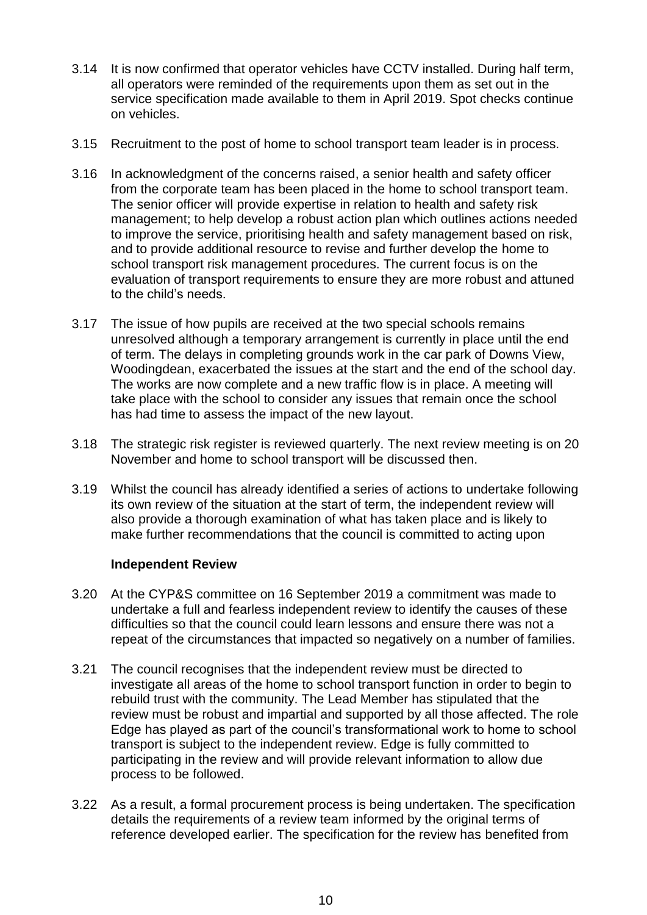- 3.14 It is now confirmed that operator vehicles have CCTV installed. During half term, all operators were reminded of the requirements upon them as set out in the service specification made available to them in April 2019. Spot checks continue on vehicles.
- 3.15 Recruitment to the post of home to school transport team leader is in process.
- 3.16 In acknowledgment of the concerns raised, a senior health and safety officer from the corporate team has been placed in the home to school transport team. The senior officer will provide expertise in relation to health and safety risk management; to help develop a robust action plan which outlines actions needed to improve the service, prioritising health and safety management based on risk, and to provide additional resource to revise and further develop the home to school transport risk management procedures. The current focus is on the evaluation of transport requirements to ensure they are more robust and attuned to the child's needs.
- 3.17 The issue of how pupils are received at the two special schools remains unresolved although a temporary arrangement is currently in place until the end of term. The delays in completing grounds work in the car park of Downs View, Woodingdean, exacerbated the issues at the start and the end of the school day. The works are now complete and a new traffic flow is in place. A meeting will take place with the school to consider any issues that remain once the school has had time to assess the impact of the new layout.
- 3.18 The strategic risk register is reviewed quarterly. The next review meeting is on 20 November and home to school transport will be discussed then.
- 3.19 Whilst the council has already identified a series of actions to undertake following its own review of the situation at the start of term, the independent review will also provide a thorough examination of what has taken place and is likely to make further recommendations that the council is committed to acting upon

#### **Independent Review**

- 3.20 At the CYP&S committee on 16 September 2019 a commitment was made to undertake a full and fearless independent review to identify the causes of these difficulties so that the council could learn lessons and ensure there was not a repeat of the circumstances that impacted so negatively on a number of families.
- 3.21 The council recognises that the independent review must be directed to investigate all areas of the home to school transport function in order to begin to rebuild trust with the community. The Lead Member has stipulated that the review must be robust and impartial and supported by all those affected. The role Edge has played as part of the council's transformational work to home to school transport is subject to the independent review. Edge is fully committed to participating in the review and will provide relevant information to allow due process to be followed.
- 3.22 As a result, a formal procurement process is being undertaken. The specification details the requirements of a review team informed by the original terms of reference developed earlier. The specification for the review has benefited from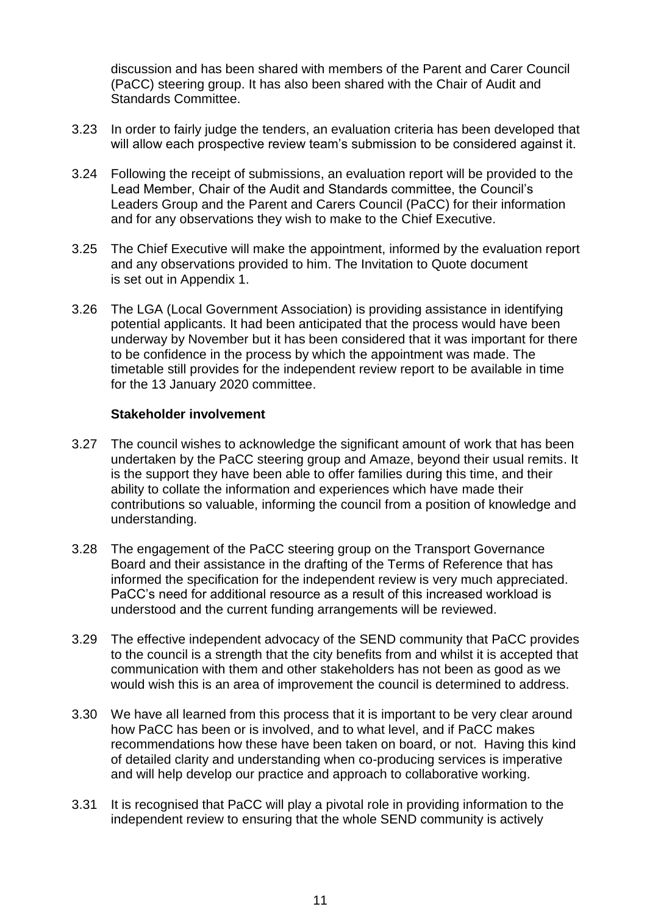discussion and has been shared with members of the Parent and Carer Council (PaCC) steering group. It has also been shared with the Chair of Audit and Standards Committee.

- 3.23 In order to fairly judge the tenders, an evaluation criteria has been developed that will allow each prospective review team's submission to be considered against it.
- 3.24 Following the receipt of submissions, an evaluation report will be provided to the Lead Member, Chair of the Audit and Standards committee, the Council's Leaders Group and the Parent and Carers Council (PaCC) for their information and for any observations they wish to make to the Chief Executive.
- 3.25 The Chief Executive will make the appointment, informed by the evaluation report and any observations provided to him. The Invitation to Quote document is set out in Appendix 1.
- 3.26 The LGA (Local Government Association) is providing assistance in identifying potential applicants. It had been anticipated that the process would have been underway by November but it has been considered that it was important for there to be confidence in the process by which the appointment was made. The timetable still provides for the independent review report to be available in time for the 13 January 2020 committee.

#### **Stakeholder involvement**

- 3.27 The council wishes to acknowledge the significant amount of work that has been undertaken by the PaCC steering group and Amaze, beyond their usual remits. It is the support they have been able to offer families during this time, and their ability to collate the information and experiences which have made their contributions so valuable, informing the council from a position of knowledge and understanding.
- 3.28 The engagement of the PaCC steering group on the Transport Governance Board and their assistance in the drafting of the Terms of Reference that has informed the specification for the independent review is very much appreciated. PaCC's need for additional resource as a result of this increased workload is understood and the current funding arrangements will be reviewed.
- 3.29 The effective independent advocacy of the SEND community that PaCC provides to the council is a strength that the city benefits from and whilst it is accepted that communication with them and other stakeholders has not been as good as we would wish this is an area of improvement the council is determined to address.
- 3.30 We have all learned from this process that it is important to be very clear around how PaCC has been or is involved, and to what level, and if PaCC makes recommendations how these have been taken on board, or not. Having this kind of detailed clarity and understanding when co-producing services is imperative and will help develop our practice and approach to collaborative working.
- 3.31 It is recognised that PaCC will play a pivotal role in providing information to the independent review to ensuring that the whole SEND community is actively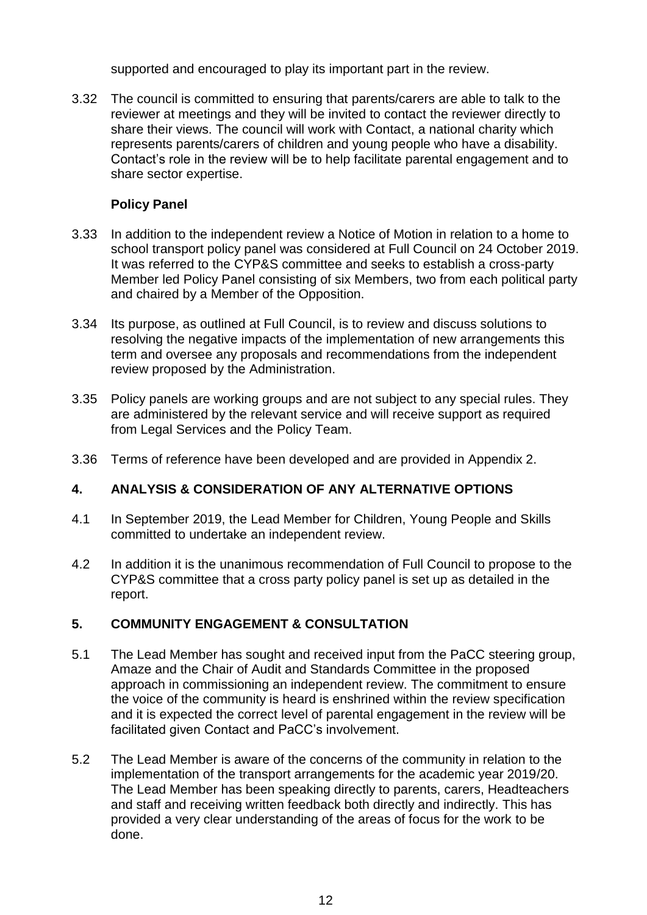supported and encouraged to play its important part in the review.

3.32 The council is committed to ensuring that parents/carers are able to talk to the reviewer at meetings and they will be invited to contact the reviewer directly to share their views. The council will work with Contact, a national charity which represents parents/carers of children and young people who have a disability. Contact's role in the review will be to help facilitate parental engagement and to share sector expertise.

#### **Policy Panel**

- 3.33 In addition to the independent review a Notice of Motion in relation to a home to school transport policy panel was considered at Full Council on 24 October 2019. It was referred to the CYP&S committee and seeks to establish a cross-party Member led Policy Panel consisting of six Members, two from each political party and chaired by a Member of the Opposition.
- 3.34 Its purpose, as outlined at Full Council, is to review and discuss solutions to resolving the negative impacts of the implementation of new arrangements this term and oversee any proposals and recommendations from the independent review proposed by the Administration.
- 3.35 Policy panels are working groups and are not subject to any special rules. They are administered by the relevant service and will receive support as required from Legal Services and the Policy Team.
- 3.36 Terms of reference have been developed and are provided in Appendix 2.

## **4. ANALYSIS & CONSIDERATION OF ANY ALTERNATIVE OPTIONS**

- 4.1 In September 2019, the Lead Member for Children, Young People and Skills committed to undertake an independent review.
- 4.2 In addition it is the unanimous recommendation of Full Council to propose to the CYP&S committee that a cross party policy panel is set up as detailed in the report.

## **5. COMMUNITY ENGAGEMENT & CONSULTATION**

- 5.1 The Lead Member has sought and received input from the PaCC steering group, Amaze and the Chair of Audit and Standards Committee in the proposed approach in commissioning an independent review. The commitment to ensure the voice of the community is heard is enshrined within the review specification and it is expected the correct level of parental engagement in the review will be facilitated given Contact and PaCC's involvement.
- 5.2 The Lead Member is aware of the concerns of the community in relation to the implementation of the transport arrangements for the academic year 2019/20. The Lead Member has been speaking directly to parents, carers, Headteachers and staff and receiving written feedback both directly and indirectly. This has provided a very clear understanding of the areas of focus for the work to be done.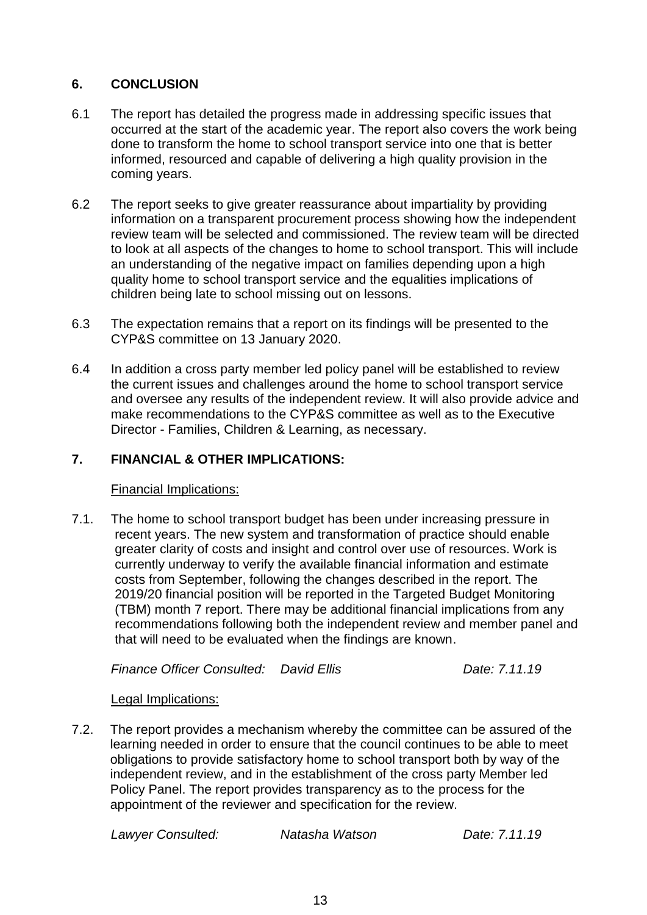## **6. CONCLUSION**

- 6.1 The report has detailed the progress made in addressing specific issues that occurred at the start of the academic year. The report also covers the work being done to transform the home to school transport service into one that is better informed, resourced and capable of delivering a high quality provision in the coming years.
- 6.2 The report seeks to give greater reassurance about impartiality by providing information on a transparent procurement process showing how the independent review team will be selected and commissioned. The review team will be directed to look at all aspects of the changes to home to school transport. This will include an understanding of the negative impact on families depending upon a high quality home to school transport service and the equalities implications of children being late to school missing out on lessons.
- 6.3 The expectation remains that a report on its findings will be presented to the CYP&S committee on 13 January 2020.
- 6.4 In addition a cross party member led policy panel will be established to review the current issues and challenges around the home to school transport service and oversee any results of the independent review. It will also provide advice and make recommendations to the CYP&S committee as well as to the Executive Director - Families, Children & Learning, as necessary.

## **7. FINANCIAL & OTHER IMPLICATIONS:**

#### Financial Implications:

7.1. The home to school transport budget has been under increasing pressure in recent years. The new system and transformation of practice should enable greater clarity of costs and insight and control over use of resources. Work is currently underway to verify the available financial information and estimate costs from September, following the changes described in the report. The 2019/20 financial position will be reported in the Targeted Budget Monitoring (TBM) month 7 report. There may be additional financial implications from any recommendations following both the independent review and member panel and that will need to be evaluated when the findings are known.

*Finance Officer Consulted: David Ellis Date: 7.11.19*

## Legal Implications:

7.2. The report provides a mechanism whereby the committee can be assured of the learning needed in order to ensure that the council continues to be able to meet obligations to provide satisfactory home to school transport both by way of the independent review, and in the establishment of the cross party Member led Policy Panel. The report provides transparency as to the process for the appointment of the reviewer and specification for the review.

*Lawyer Consulted: Natasha Watson Date: 7.11.19*